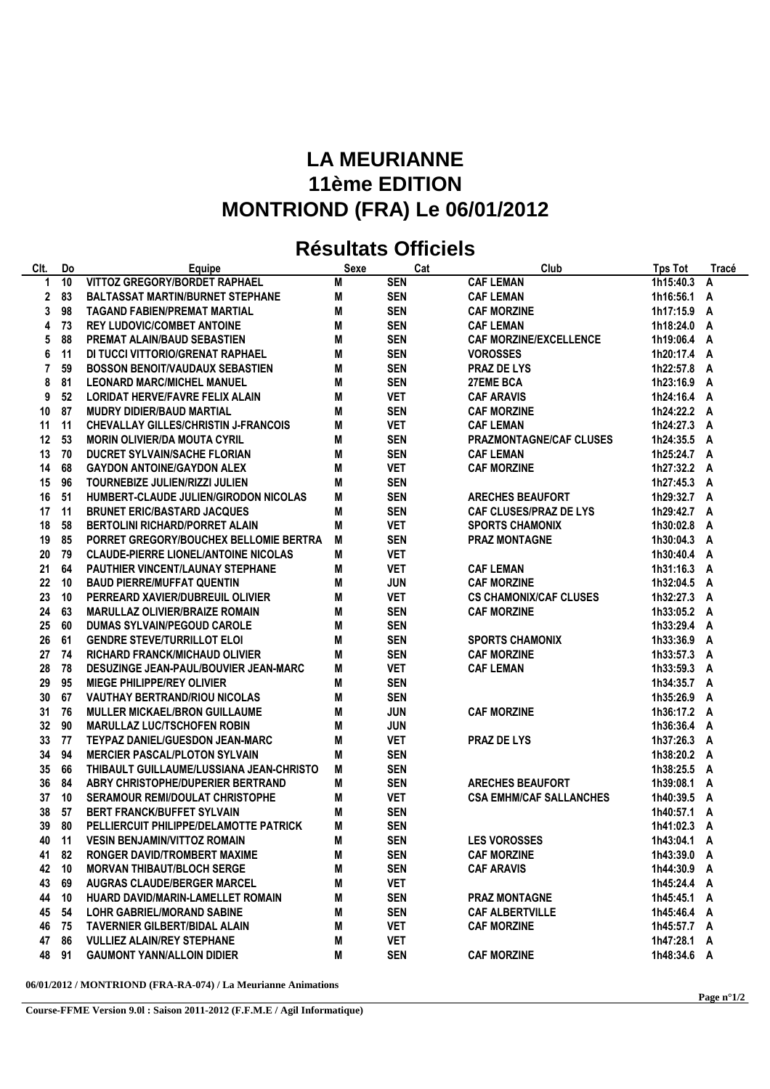## **LA MEURIANNE 11ème EDITION MONTRIOND (FRA) Le 06/01/2012**

## **Résultats Officiels**

| CIt.         | Do | Equipe                                      | <b>Sexe</b> | Cat        | Club                           | <b>Tps Tot</b> | Tracé |
|--------------|----|---------------------------------------------|-------------|------------|--------------------------------|----------------|-------|
| 1            | 10 | VITTOZ GREGORY/BORDET RAPHAEL               | M           | <b>SEN</b> | <b>CAF LEMAN</b>               | 1h15:40.3      | A     |
| $\mathbf{2}$ | 83 | <b>BALTASSAT MARTIN/BURNET STEPHANE</b>     | M           | <b>SEN</b> | <b>CAF LEMAN</b>               | 1h16:56.1 A    |       |
| 3            | 98 | <b>TAGAND FABIEN/PREMAT MARTIAL</b>         | M           | <b>SEN</b> | <b>CAF MORZINE</b>             | 1h17:15.9 A    |       |
| 4            | 73 | <b>REY LUDOVIC/COMBET ANTOINE</b>           | M           | <b>SEN</b> | <b>CAF LEMAN</b>               | 1h18:24.0 A    |       |
| 5            | 88 | PREMAT ALAIN/BAUD SEBASTIEN                 | M           | <b>SEN</b> | <b>CAF MORZINE/EXCELLENCE</b>  | 1h19:06.4 A    |       |
| 6            | 11 | DI TUCCI VITTORIO/GRENAT RAPHAEL            | Μ           | <b>SEN</b> | <b>VOROSSES</b>                | 1h20:17.4 A    |       |
| 7            | 59 | <b>BOSSON BENOIT/VAUDAUX SEBASTIEN</b>      | M           | <b>SEN</b> | <b>PRAZ DE LYS</b>             | 1h22:57.8 A    |       |
| 8            | 81 | <b>LEONARD MARC/MICHEL MANUEL</b>           | M           | <b>SEN</b> | 27EME BCA                      | 1h23:16.9 A    |       |
| 9            | 52 | <b>LORIDAT HERVE/FAVRE FELIX ALAIN</b>      | M           | <b>VET</b> | <b>CAF ARAVIS</b>              | 1h24:16.4 A    |       |
| 10           | 87 | <b>MUDRY DIDIER/BAUD MARTIAL</b>            | M           | <b>SEN</b> | <b>CAF MORZINE</b>             | 1h24:22.2 A    |       |
| 11           | 11 | <b>CHEVALLAY GILLES/CHRISTIN J-FRANCOIS</b> | М           | <b>VET</b> | <b>CAF LEMAN</b>               | 1h24:27.3 A    |       |
| 12           | 53 | <b>MORIN OLIVIER/DA MOUTA CYRIL</b>         | M           | <b>SEN</b> | <b>PRAZMONTAGNE/CAF CLUSES</b> | 1h24:35.5 A    |       |
| 13           | 70 | <b>DUCRET SYLVAIN/SACHE FLORIAN</b>         | Μ           | <b>SEN</b> | <b>CAF LEMAN</b>               | 1h25:24.7 A    |       |
| 14           | 68 | <b>GAYDON ANTOINE/GAYDON ALEX</b>           | Μ           | <b>VET</b> | <b>CAF MORZINE</b>             | 1h27:32.2 A    |       |
| 15           | 96 | <b>TOURNEBIZE JULIEN/RIZZI JULIEN</b>       | M           | <b>SEN</b> |                                | 1h27:45.3 A    |       |
| 16           | 51 | HUMBERT-CLAUDE JULIEN/GIRODON NICOLAS       | Μ           | <b>SEN</b> | <b>ARECHES BEAUFORT</b>        | 1h29:32.7 A    |       |
| 17           | 11 | <b>BRUNET ERIC/BASTARD JACQUES</b>          | Μ           | <b>SEN</b> | <b>CAF CLUSES/PRAZ DE LYS</b>  | 1h29:42.7 A    |       |
| 18           | 58 | <b>BERTOLINI RICHARD/PORRET ALAIN</b>       | M           | <b>VET</b> | <b>SPORTS CHAMONIX</b>         | 1h30:02.8 A    |       |
| 19           | 85 | PORRET GREGORY/BOUCHEX BELLOMIE BERTRA      | M           | <b>SEN</b> | <b>PRAZ MONTAGNE</b>           | 1h30:04.3 A    |       |
| 20           | 79 | <b>CLAUDE-PIERRE LIONEL/ANTOINE NICOLAS</b> | M           | <b>VET</b> |                                | 1h30:40.4 A    |       |
| 21           | 64 | PAUTHIER VINCENT/LAUNAY STEPHANE            | M           | <b>VET</b> | <b>CAF LEMAN</b>               | 1h31:16.3 A    |       |
| 22           | 10 | <b>BAUD PIERRE/MUFFAT QUENTIN</b>           | M           | <b>JUN</b> | <b>CAF MORZINE</b>             | 1h32:04.5 A    |       |
| 23           | 10 | PERREARD XAVIER/DUBREUIL OLIVIER            | М           | <b>VET</b> | <b>CS CHAMONIX/CAF CLUSES</b>  | 1h32:27.3 A    |       |
| 24           | 63 | <b>MARULLAZ OLIVIER/BRAIZE ROMAIN</b>       | M           | <b>SEN</b> | <b>CAF MORZINE</b>             | 1h33:05.2 A    |       |
| 25           | 60 | <b>DUMAS SYLVAIN/PEGOUD CAROLE</b>          | M           | <b>SEN</b> |                                | 1h33:29.4 A    |       |
| 26           | 61 | <b>GENDRE STEVE/TURRILLOT ELOI</b>          | Μ           | <b>SEN</b> | <b>SPORTS CHAMONIX</b>         | 1h33:36.9 A    |       |
| 27           | 74 | <b>RICHARD FRANCK/MICHAUD OLIVIER</b>       | M           | <b>SEN</b> | <b>CAF MORZINE</b>             | 1h33:57.3 A    |       |
| 28           | 78 | DESUZINGE JEAN-PAUL/BOUVIER JEAN-MARC       | M           | <b>VET</b> | <b>CAF LEMAN</b>               | 1h33:59.3 A    |       |
| 29           | 95 | <b>MIEGE PHILIPPE/REY OLIVIER</b>           | Μ           | <b>SEN</b> |                                | 1h34:35.7 A    |       |
| 30           | 67 | <b>VAUTHAY BERTRAND/RIOU NICOLAS</b>        | Μ           | <b>SEN</b> |                                | 1h35:26.9 A    |       |
| 31           | 76 | <b>MULLER MICKAEL/BRON GUILLAUME</b>        | M           | <b>JUN</b> | <b>CAF MORZINE</b>             | 1h36:17.2 A    |       |
| 32           | 90 | <b>MARULLAZ LUC/TSCHOFEN ROBIN</b>          | Μ           | <b>JUN</b> |                                | 1h36:36.4 A    |       |
| 33           | 77 | <b>TEYPAZ DANIEL/GUESDON JEAN-MARC</b>      | Μ           | <b>VET</b> | <b>PRAZ DE LYS</b>             | 1h37:26.3 A    |       |
| 34           | 94 | <b>MERCIER PASCAL/PLOTON SYLVAIN</b>        | M           | <b>SEN</b> |                                | 1h38:20.2 A    |       |
| 35           | 66 | THIBAULT GUILLAUME/LUSSIANA JEAN-CHRISTO    | M           | <b>SEN</b> |                                | 1h38:25.5 A    |       |
| 36           | 84 | ABRY CHRISTOPHE/DUPERIER BERTRAND           | M           | <b>SEN</b> | <b>ARECHES BEAUFORT</b>        | 1h39:08.1 A    |       |
| 37           | 10 | <b>SERAMOUR REMI/DOULAT CHRISTOPHE</b>      | M           | <b>VET</b> | <b>CSA EMHM/CAF SALLANCHES</b> | 1h40:39.5 A    |       |
| 38           | 57 | <b>BERT FRANCK/BUFFET SYLVAIN</b>           | M           | <b>SEN</b> |                                | 1h40:57.1 A    |       |
| 39           | 80 | PELLIERCUIT PHILIPPE/DELAMOTTE PATRICK      | M           | <b>SEN</b> |                                | 1h41:02.3 A    |       |
| 40           | 11 | <b>VESIN BENJAMIN/VITTOZ ROMAIN</b>         | M           | <b>SEN</b> | <b>LES VOROSSES</b>            | 1h43:04.1 A    |       |
| 41           | 82 | RONGER DAVID/TROMBERT MAXIME                | Μ           | <b>SEN</b> | <b>CAF MORZINE</b>             | 1h43:39.0 A    |       |
| 42           | 10 | <b>MORVAN THIBAUT/BLOCH SERGE</b>           | Μ           | <b>SEN</b> | <b>CAF ARAVIS</b>              | 1h44:30.9 A    |       |
| 43           | 69 | <b>AUGRAS CLAUDE/BERGER MARCEL</b>          | M           | <b>VET</b> |                                | 1h45:24.4 A    |       |
| 44           | 10 | HUARD DAVID/MARIN-LAMELLET ROMAIN           | M           | <b>SEN</b> | <b>PRAZ MONTAGNE</b>           | 1h45:45.1 A    |       |
| 45           | 54 | <b>LOHR GABRIEL/MORAND SABINE</b>           | M           | <b>SEN</b> | <b>CAF ALBERTVILLE</b>         | 1h45:46.4 A    |       |
| 46           | 75 | <b>TAVERNIER GILBERT/BIDAL ALAIN</b>        | Μ           | <b>VET</b> | <b>CAF MORZINE</b>             | 1h45:57.7 A    |       |
| 47           | 86 | <b>VULLIEZ ALAIN/REY STEPHANE</b>           | M           | <b>VET</b> |                                | 1h47:28.1 A    |       |
| 48 91        |    | <b>GAUMONT YANN/ALLOIN DIDIER</b>           | M           | <b>SEN</b> | <b>CAF MORZINE</b>             | 1h48:34.6 A    |       |

**06/01/2012 / MONTRIOND (FRA-RA-074) / La Meurianne Animations**